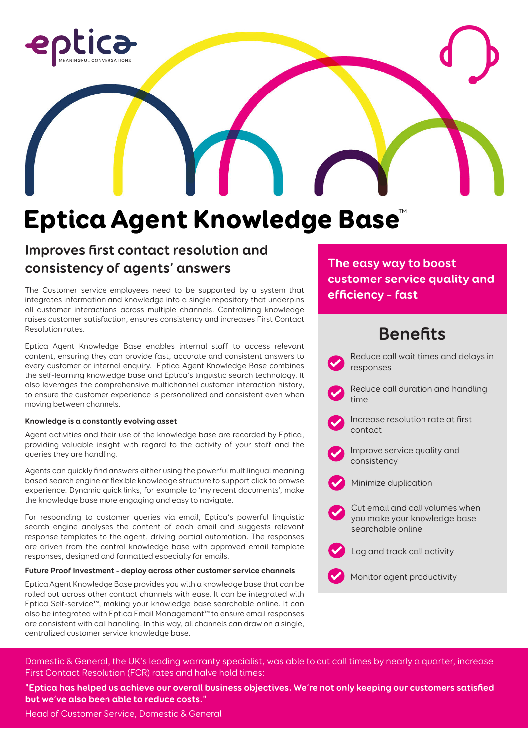

# Eptica Agent Knowledge Base™

### **Improves first contact resolution and consistency of agents' answers**

The Customer service employees need to be supported by a system that integrates information and knowledge into a single repository that underpins all customer interactions across multiple channels. Centralizing knowledge raises customer satisfaction, ensures consistency and increases First Contact Resolution rates.

Eptica Agent Knowledge Base enables internal staff to access relevant content, ensuring they can provide fast, accurate and consistent answers to every customer or internal enquiry. Eptica Agent Knowledge Base combines the self-learning knowledge base and Eptica's linguistic search technology. It also leverages the comprehensive multichannel customer interaction history, to ensure the customer experience is personalized and consistent even when moving between channels.

#### **Knowledge is a constantly evolving asset**

Agent activities and their use of the knowledge base are recorded by Eptica, providing valuable insight with regard to the activity of your staff and the queries they are handling.

Agents can quickly find answers either using the powerful multilingual meaning based search engine or flexible knowledge structure to support click to browse experience. Dynamic quick links, for example to 'my recent documents', make the knowledge base more engaging and easy to navigate.

For responding to customer queries via email, Eptica's powerful linguistic search engine analyses the content of each email and suggests relevant response templates to the agent, driving partial automation. The responses are driven from the central knowledge base with approved email template responses, designed and formatted especially for emails.

#### **Future Proof Investment - deploy across other customer service channels**

Eptica Agent Knowledge Base provides you with a knowledge base that can be rolled out across other contact channels with ease. It can be integrated with Eptica Self-service™, making your knowledge base searchable online. It can also be integrated with Eptica Email Management™ to ensure email responses are consistent with call handling. In this way, all channels can draw on a single, centralized customer service knowledge base.

**The easy way to boost customer service quality and efficiency – fast**

## **Benefits**



Domestic & General, the UK's leading warranty specialist, was able to cut call times by nearly a quarter, increase First Contact Resolution (FCR) rates and halve hold times:

**"Eptica has helped us achieve our overall business objectives. We're not only keeping our customers satisfied but we've also been able to reduce costs."**

Head of Customer Service, Domestic & General